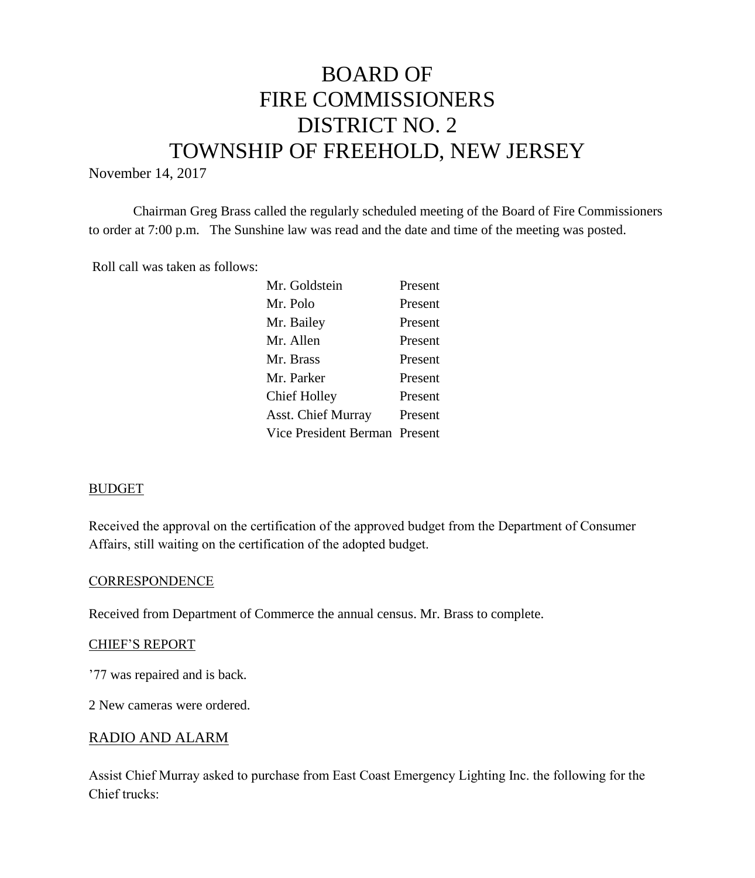# BOARD OF FIRE COMMISSIONERS DISTRICT NO. 2 TOWNSHIP OF FREEHOLD, NEW JERSEY

November 14, 2017

Chairman Greg Brass called the regularly scheduled meeting of the Board of Fire Commissioners to order at 7:00 p.m. The Sunshine law was read and the date and time of the meeting was posted.

Roll call was taken as follows:

| Mr. Goldstein                 | Present |
|-------------------------------|---------|
| Mr. Polo                      | Present |
| Mr. Bailey                    | Present |
| Mr. Allen                     | Present |
| Mr. Brass                     | Present |
| Mr. Parker                    | Present |
| Chief Holley                  | Present |
| Asst. Chief Murray            | Present |
| Vice President Berman Present |         |
|                               |         |

## BUDGET

Received the approval on the certification of the approved budget from the Department of Consumer Affairs, still waiting on the certification of the adopted budget.

#### **CORRESPONDENCE**

Received from Department of Commerce the annual census. Mr. Brass to complete.

#### CHIEF'S REPORT

'77 was repaired and is back.

2 New cameras were ordered.

#### RADIO AND ALARM

Assist Chief Murray asked to purchase from East Coast Emergency Lighting Inc. the following for the Chief trucks: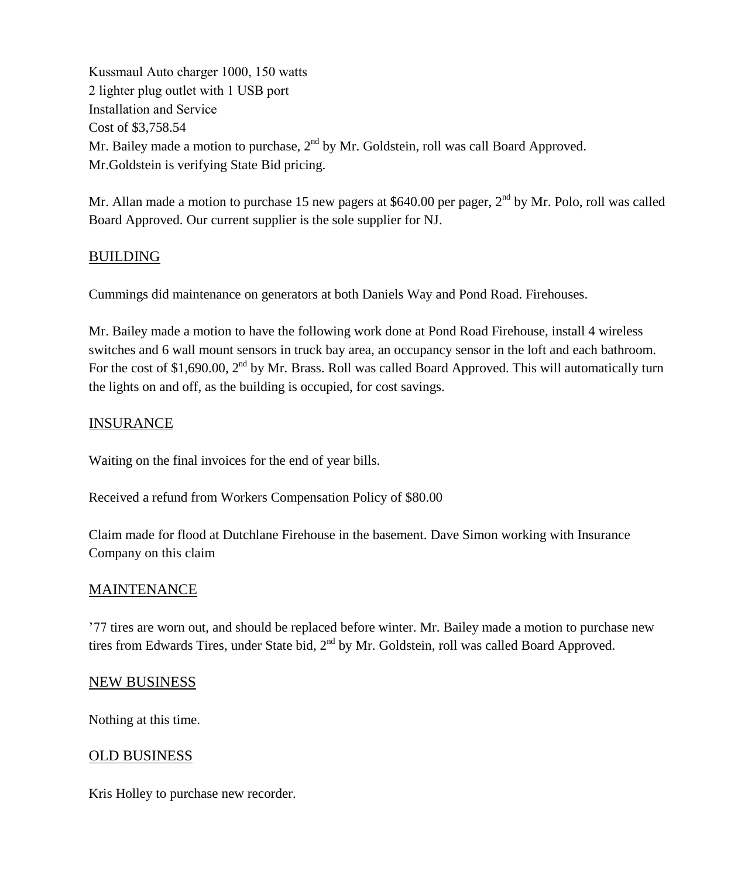Kussmaul Auto charger 1000, 150 watts 2 lighter plug outlet with 1 USB port Installation and Service Cost of \$3,758.54 Mr. Bailey made a motion to purchase,  $2^{nd}$  by Mr. Goldstein, roll was call Board Approved. Mr.Goldstein is verifying State Bid pricing.

Mr. Allan made a motion to purchase 15 new pagers at \$640.00 per pager,  $2<sup>nd</sup>$  by Mr. Polo, roll was called Board Approved. Our current supplier is the sole supplier for NJ.

# BUILDING

Cummings did maintenance on generators at both Daniels Way and Pond Road. Firehouses.

Mr. Bailey made a motion to have the following work done at Pond Road Firehouse, install 4 wireless switches and 6 wall mount sensors in truck bay area, an occupancy sensor in the loft and each bathroom. For the cost of \$1,690.00,  $2<sup>nd</sup>$  by Mr. Brass. Roll was called Board Approved. This will automatically turn the lights on and off, as the building is occupied, for cost savings.

# INSURANCE

Waiting on the final invoices for the end of year bills.

Received a refund from Workers Compensation Policy of \$80.00

Claim made for flood at Dutchlane Firehouse in the basement. Dave Simon working with Insurance Company on this claim

## MAINTENANCE

'77 tires are worn out, and should be replaced before winter. Mr. Bailey made a motion to purchase new tires from Edwards Tires, under State bid, 2<sup>nd</sup> by Mr. Goldstein, roll was called Board Approved.

#### NEW BUSINESS

Nothing at this time.

## OLD BUSINESS

Kris Holley to purchase new recorder.